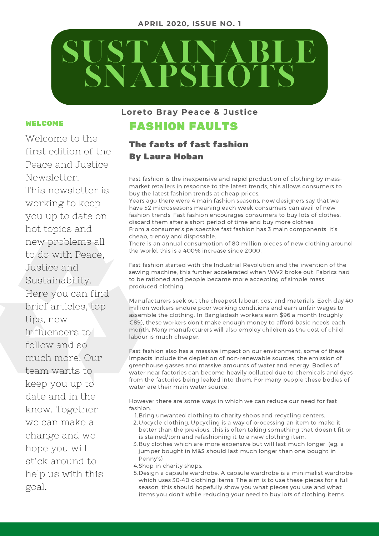#### **APRIL 2020, ISSUE NO. 1**



#### WELCOME

Welcome to the first edition of the Peace and Justice Newsletter! This newsletter is working to keep you up to date on hot topics and new problems all to do with Peace, Justice and Sustainability. Here you can find brief articles, top tips, new influencers to follow and so much more. Our team wants to keep you up to date and in the know. Together we can make a change and we hope you will stick around to help us with this goal.

#### **Loreto Bray Peace & Justice**

## FASHION FAULTS

#### The facts of fast fashion By Laura Hoban

Fast fashion is the inexpensive and rapid production of clothing by massmarket retailers in response to the latest trends, this allows consumers to buy the latest fashion trends at cheap prices.

Years ago there were 4 main fashion seasons, now designers say that we have 52 microseasons meaning each week consumers can avail of new fashion trends. Fast fashion encourages consumers to buy lots of clothes, discard them after a short period of time and buy more clothes. From a consumer's perspective fast fashion has 3 main components: it's cheap, trendy and disposable.

There is an annual consumption of 80 million pieces of new clothing around the world, this is a 400% increase since 2000.

Fast fashion started with the Industrial Revolution and the invention of the sewing machine, this further accelerated when WW2 broke out. Fabrics had to be rationed and people became more accepting of simple mass produced clothing.

Manufacturers seek out the cheapest labour, cost and materials. Each day 40 million workers endure poor working conditions and earn unfair wages to assemble the clothing. In Bangladesh workers earn \$96 a month (roughly €89), these workers don't make enough money to afford basic needs each month. Many manufacturers will also employ children as the cost of child labour is much cheaper.

Fast fashion also has a massive impact on our environment; some of these impacts include the depletion of non-renewable sources, the emission of greenhouse gasses and massive amounts of water and energy. Bodies of water near factories can become heavily polluted due to chemicals and dyes from the factories being leaked into them. For many people these bodies of water are their main water source.

However there are some ways in which we can reduce our need for fast fashion.

- 1. Bring unwanted clothing to charity shops and recycling centers.
- 2. Upcycle clothing. Upcycling is a way of processing an item to make it better than the previous, this is often taking something that doesn't fit or is stained/torn and refashioning it to a new clothing item.
- 3. Buy clothes which are more expensive but will last much longer. (eg: a jumper bought in M&S should last much longer than one bought in Penny's)
- 4. Shop in charity shops.
- 5. Design a capsule wardrobe. A capsule wardrobe is a minimalist wardrobe which uses 30-40 clothing items. The aim is to use these pieces for a full season, this should hopefully show you what pieces you use and what items you don't while reducing your need to buy lots of clothing items.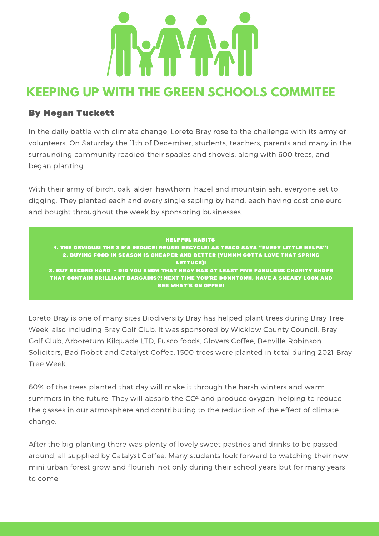

## **KEEPING UP WITH THE GREEN SCHOOLS COMMITEE**

## By Megan Tuckett

In the daily battle with climate change, Loreto Bray rose to the challenge with its army of volunteers. On Saturday the 11th of December, students, teachers, parents and many in the surrounding community readied their spades and shovels, along with 600 trees, and began planting.

With their army of birch, oak, alder, hawthorn, hazel and mountain ash, everyone set to digging. They planted each and every single sapling by hand, each having cost one euro and bought throughout the week by sponsoring businesses.

HELPFUL HABITS 1. THE OBVIOUS! THE 3 R'S REDUCE! REUSE! RECYCLE! AS TESCO SAYS ''EVERY LITTLE HELPS''! 2. BUYING FOOD IN SEASON IS CHEAPER AND BETTER (YUMMM GOTTA LOVE THAT SPRING LETTUCE)! 3. BUY SECOND HAND - DID YOU KNOW THAT BRAY HAS AT LEAST FIVE FABULOUS CHARITY SHOPS THAT CONTAIN BRILLIANT BARGAINS?! NEXT TIME YOU'RE DOWNTOWN, HAVE A SNEAKY LOOK AND SEE WHAT'S ON OFFER!

Loreto Bray is one of many sites Biodiversity Bray has helped plant trees during Bray Tree Week, also including Bray Golf Club. It was sponsored by Wicklow County Council, Bray Golf Club, Arboretum Kilquade LTD, Fusco foods, Glovers Coffee, Benville Robinson Solicitors, Bad Robot and Catalyst Coffee. 1500 trees were planted in total during 2021 Bray Tree Week.

60% of the trees planted that day will make it through the harsh winters and warm summers in the future. They will absorb the CO² and produce oxygen, helping to reduce the gasses in our atmosphere and contributing to the reduction of the effect of climate change.

After the big planting there was plenty of lovely sweet pastries and drinks to be passed around, all supplied by Catalyst Coffee. Many students look forward to watching their new mini urban forest grow and flourish, not only during their school years but for many years to come.